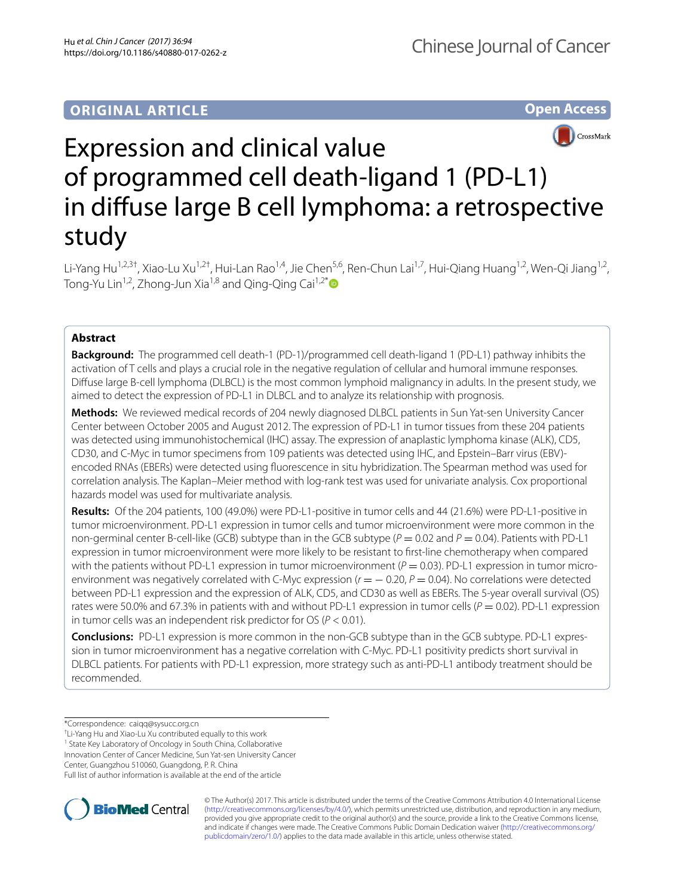**Open Access**



# Expression and clinical value of programmed cell death-ligand 1 (PD-L1) in difuse large B cell lymphoma: a retrospective study

Li-Yang Hu<sup>1,2,3†</sup>, Xiao-Lu Xu<sup>1,2†</sup>, Hui-Lan Rao<sup>1,4</sup>, Jie Chen<sup>5,6</sup>, Ren-Chun Lai<sup>1,7</sup>, Hui-Qiang Huang<sup>1,2</sup>, Wen-Qi Jiang<sup>1,2</sup>, Tong-Yu Lin<sup>1,2</sup>, Zhong-Jun Xia<sup>1,8</sup> and Qing-Qing Cai<sup>1,2[\\*](http://orcid.org/0000-0001-5447-3282)</sup>

# **Abstract**

**Background:** The programmed cell death-1 (PD-1)/programmed cell death-ligand 1 (PD-L1) pathway inhibits the activation of T cells and plays a crucial role in the negative regulation of cellular and humoral immune responses. Difuse large B-cell lymphoma (DLBCL) is the most common lymphoid malignancy in adults. In the present study, we aimed to detect the expression of PD-L1 in DLBCL and to analyze its relationship with prognosis.

**Methods:** We reviewed medical records of 204 newly diagnosed DLBCL patients in Sun Yat-sen University Cancer Center between October 2005 and August 2012. The expression of PD-L1 in tumor tissues from these 204 patients was detected using immunohistochemical (IHC) assay. The expression of anaplastic lymphoma kinase (ALK), CD5, CD30, and C-Myc in tumor specimens from 109 patients was detected using IHC, and Epstein–Barr virus (EBV)encoded RNAs (EBERs) were detected using fuorescence in situ hybridization. The Spearman method was used for correlation analysis. The Kaplan–Meier method with log-rank test was used for univariate analysis. Cox proportional hazards model was used for multivariate analysis.

**Results:** Of the 204 patients, 100 (49.0%) were PD-L1-positive in tumor cells and 44 (21.6%) were PD-L1-positive in tumor microenvironment. PD-L1 expression in tumor cells and tumor microenvironment were more common in the non-germinal center B-cell-like (GCB) subtype than in the GCB subtype ( $P = 0.02$  and  $P = 0.04$ ). Patients with PD-L1 expression in tumor microenvironment were more likely to be resistant to frst-line chemotherapy when compared with the patients without PD-L1 expression in tumor microenvironment ( $P = 0.03$ ). PD-L1 expression in tumor microenvironment was negatively correlated with C-Myc expression  $(r = -0.20, P = 0.04)$ . No correlations were detected between PD-L1 expression and the expression of ALK, CD5, and CD30 as well as EBERs. The 5-year overall survival (OS) rates were 50.0% and 67.3% in patients with and without PD-L1 expression in tumor cells ( $P = 0.02$ ). PD-L1 expression in tumor cells was an independent risk predictor for OS (*P* < 0.01).

**Conclusions:** PD-L1 expression is more common in the non-GCB subtype than in the GCB subtype. PD-L1 expres‑ sion in tumor microenvironment has a negative correlation with C-Myc. PD-L1 positivity predicts short survival in DLBCL patients. For patients with PD-L1 expression, more strategy such as anti-PD-L1 antibody treatment should be recommended.

\*Correspondence: caiqq@sysucc.org.cn

† Li-Yang Hu and Xiao-Lu Xu contributed equally to this work

<sup>1</sup> State Key Laboratory of Oncology in South China, Collaborative

Innovation Center of Cancer Medicine, Sun Yat-sen University Cancer

Center, Guangzhou 510060, Guangdong, P. R. China

Full list of author information is available at the end of the article



© The Author(s) 2017. This article is distributed under the terms of the Creative Commons Attribution 4.0 International License [\(http://creativecommons.org/licenses/by/4.0/\)](http://creativecommons.org/licenses/by/4.0/), which permits unrestricted use, distribution, and reproduction in any medium, provided you give appropriate credit to the original author(s) and the source, provide a link to the Creative Commons license, and indicate if changes were made. The Creative Commons Public Domain Dedication waiver ([http://creativecommons.org/](http://creativecommons.org/publicdomain/zero/1.0/) [publicdomain/zero/1.0/](http://creativecommons.org/publicdomain/zero/1.0/)) applies to the data made available in this article, unless otherwise stated.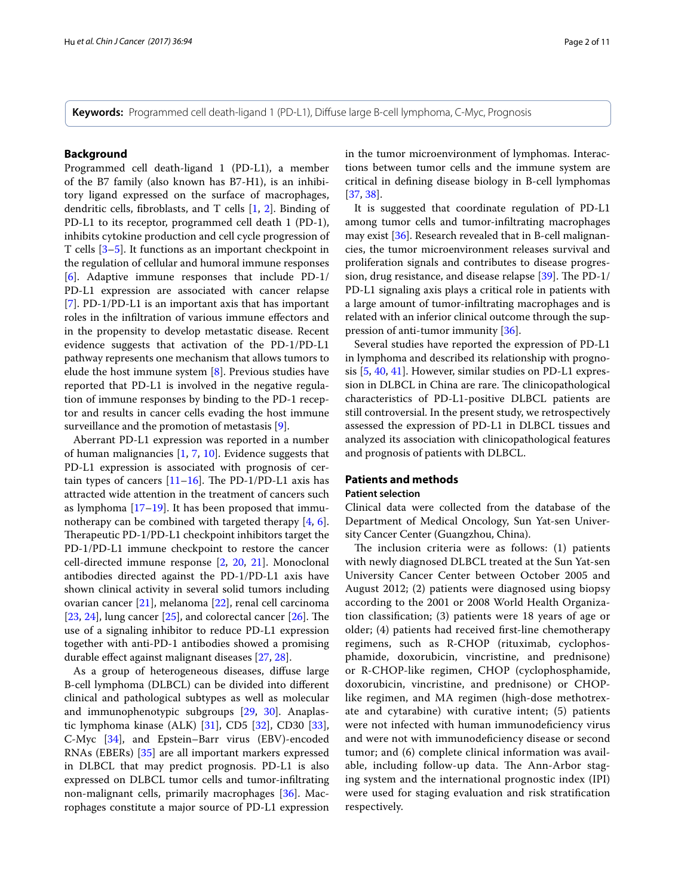**Keywords:** Programmed cell death-ligand 1 (PD-L1), Difuse large B-cell lymphoma, C-Myc, Prognosis

# **Background**

Programmed cell death-ligand 1 (PD-L1), a member of the B7 family (also known has B7-H1), is an inhibitory ligand expressed on the surface of macrophages, dendritic cells, fbroblasts, and T cells [[1,](#page-9-0) [2](#page-9-1)]. Binding of PD-L1 to its receptor, programmed cell death 1 (PD-1), inhibits cytokine production and cell cycle progression of T cells [\[3](#page-9-2)–[5\]](#page-9-3). It functions as an important checkpoint in the regulation of cellular and humoral immune responses [[6\]](#page-9-4). Adaptive immune responses that include PD-1/ PD-L1 expression are associated with cancer relapse [[7\]](#page-9-5). PD-1/PD-L1 is an important axis that has important roles in the infltration of various immune efectors and in the propensity to develop metastatic disease. Recent evidence suggests that activation of the PD-1/PD-L1 pathway represents one mechanism that allows tumors to elude the host immune system [[8\]](#page-9-6). Previous studies have reported that PD-L1 is involved in the negative regulation of immune responses by binding to the PD-1 receptor and results in cancer cells evading the host immune surveillance and the promotion of metastasis [\[9](#page-9-7)].

Aberrant PD-L1 expression was reported in a number of human malignancies  $[1, 7, 10]$  $[1, 7, 10]$  $[1, 7, 10]$  $[1, 7, 10]$  $[1, 7, 10]$  $[1, 7, 10]$ . Evidence suggests that PD-L1 expression is associated with prognosis of certain types of cancers  $[11–16]$  $[11–16]$  $[11–16]$  $[11–16]$ . The PD-1/PD-L1 axis has attracted wide attention in the treatment of cancers such as lymphoma [\[17](#page-9-11)[–19\]](#page-9-12). It has been proposed that immunotherapy can be combined with targeted therapy [\[4](#page-9-13), [6](#page-9-4)]. Therapeutic PD-1/PD-L1 checkpoint inhibitors target the PD-1/PD-L1 immune checkpoint to restore the cancer cell-directed immune response [\[2](#page-9-1), [20](#page-9-14), [21](#page-9-15)]. Monoclonal antibodies directed against the PD-1/PD-L1 axis have shown clinical activity in several solid tumors including ovarian cancer [[21\]](#page-9-15), melanoma [[22\]](#page-9-16), renal cell carcinoma [[23,](#page-9-17) [24](#page-9-18)], lung cancer  $[25]$  $[25]$ , and colorectal cancer  $[26]$  $[26]$ . The use of a signaling inhibitor to reduce PD-L1 expression together with anti-PD-1 antibodies showed a promising durable efect against malignant diseases [[27,](#page-9-21) [28](#page-9-22)].

As a group of heterogeneous diseases, difuse large B-cell lymphoma (DLBCL) can be divided into diferent clinical and pathological subtypes as well as molecular and immunophenotypic subgroups [\[29](#page-9-23), [30\]](#page-9-24). Anaplastic lymphoma kinase (ALK) [\[31](#page-9-25)], CD5 [\[32](#page-9-26)], CD30 [\[33](#page-9-27)], C-Myc [[34\]](#page-9-28), and Epstein–Barr virus (EBV)-encoded RNAs (EBERs) [\[35](#page-9-29)] are all important markers expressed in DLBCL that may predict prognosis. PD-L1 is also expressed on DLBCL tumor cells and tumor-infltrating non-malignant cells, primarily macrophages [[36\]](#page-9-30). Macrophages constitute a major source of PD-L1 expression in the tumor microenvironment of lymphomas. Interactions between tumor cells and the immune system are critical in defning disease biology in B-cell lymphomas [[37,](#page-9-31) [38](#page-9-32)].

It is suggested that coordinate regulation of PD-L1 among tumor cells and tumor-infltrating macrophages may exist [[36](#page-9-30)]. Research revealed that in B-cell malignancies, the tumor microenvironment releases survival and proliferation signals and contributes to disease progression, drug resistance, and disease relapse  $[39]$  $[39]$ . The PD-1/ PD-L1 signaling axis plays a critical role in patients with a large amount of tumor-infltrating macrophages and is related with an inferior clinical outcome through the suppression of anti-tumor immunity [[36\]](#page-9-30).

Several studies have reported the expression of PD-L1 in lymphoma and described its relationship with prognosis [[5,](#page-9-3) [40](#page-9-34), [41](#page-9-35)]. However, similar studies on PD-L1 expression in DLBCL in China are rare. The clinicopathological characteristics of PD-L1-positive DLBCL patients are still controversial. In the present study, we retrospectively assessed the expression of PD-L1 in DLBCL tissues and analyzed its association with clinicopathological features and prognosis of patients with DLBCL.

# **Patients and methods**

# **Patient selection**

Clinical data were collected from the database of the Department of Medical Oncology, Sun Yat-sen University Cancer Center (Guangzhou, China).

The inclusion criteria were as follows:  $(1)$  patients with newly diagnosed DLBCL treated at the Sun Yat-sen University Cancer Center between October 2005 and August 2012; (2) patients were diagnosed using biopsy according to the 2001 or 2008 World Health Organization classifcation; (3) patients were 18 years of age or older; (4) patients had received frst-line chemotherapy regimens, such as R-CHOP (rituximab, cyclophosphamide, doxorubicin, vincristine, and prednisone) or R-CHOP-like regimen, CHOP (cyclophosphamide, doxorubicin, vincristine, and prednisone) or CHOPlike regimen, and MA regimen (high-dose methotrexate and cytarabine) with curative intent; (5) patients were not infected with human immunodeficiency virus and were not with immunodefciency disease or second tumor; and (6) complete clinical information was available, including follow-up data. The Ann-Arbor staging system and the international prognostic index (IPI) were used for staging evaluation and risk stratifcation respectively.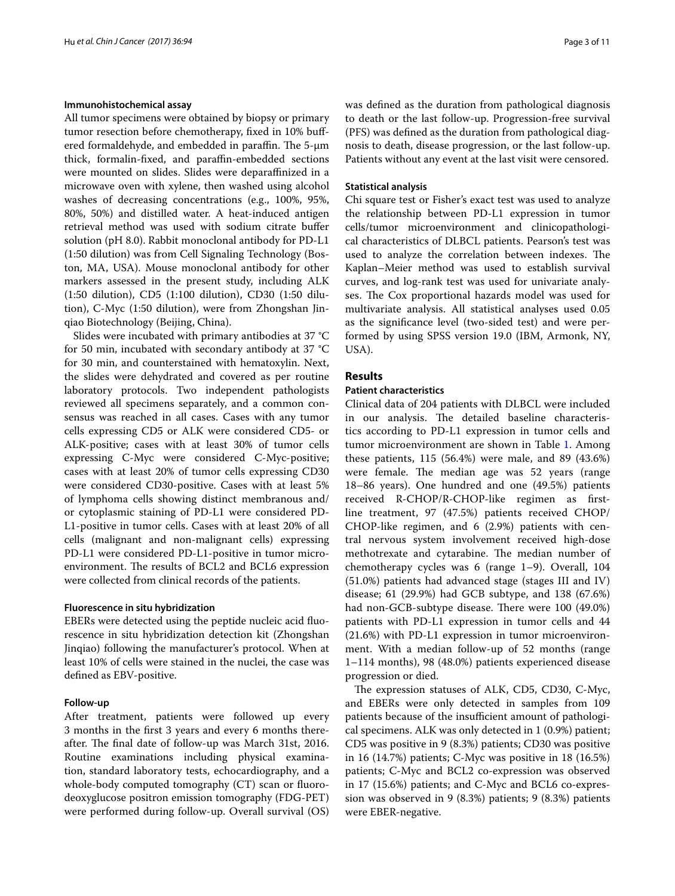## **Immunohistochemical assay**

All tumor specimens were obtained by biopsy or primary tumor resection before chemotherapy, fxed in 10% bufered formaldehyde, and embedded in paraffin. The  $5\text{-}\mu\text{m}$ thick, formalin-fixed, and paraffin-embedded sections were mounted on slides. Slides were deparafnized in a microwave oven with xylene, then washed using alcohol washes of decreasing concentrations (e.g., 100%, 95%, 80%, 50%) and distilled water. A heat-induced antigen retrieval method was used with sodium citrate bufer solution (pH 8.0). Rabbit monoclonal antibody for PD-L1 (1:50 dilution) was from Cell Signaling Technology (Boston, MA, USA). Mouse monoclonal antibody for other markers assessed in the present study, including ALK (1:50 dilution), CD5 (1:100 dilution), CD30 (1:50 dilution), C-Myc (1:50 dilution), were from Zhongshan Jinqiao Biotechnology (Beijing, China).

Slides were incubated with primary antibodies at 37 °C for 50 min, incubated with secondary antibody at 37 °C for 30 min, and counterstained with hematoxylin. Next, the slides were dehydrated and covered as per routine laboratory protocols. Two independent pathologists reviewed all specimens separately, and a common consensus was reached in all cases. Cases with any tumor cells expressing CD5 or ALK were considered CD5- or ALK-positive; cases with at least 30% of tumor cells expressing C-Myc were considered C-Myc-positive; cases with at least 20% of tumor cells expressing CD30 were considered CD30-positive. Cases with at least 5% of lymphoma cells showing distinct membranous and/ or cytoplasmic staining of PD-L1 were considered PD-L1-positive in tumor cells. Cases with at least 20% of all cells (malignant and non-malignant cells) expressing PD-L1 were considered PD-L1-positive in tumor microenvironment. The results of BCL2 and BCL6 expression were collected from clinical records of the patients.

## **Fluorescence in situ hybridization**

EBERs were detected using the peptide nucleic acid fuorescence in situ hybridization detection kit (Zhongshan Jinqiao) following the manufacturer's protocol. When at least 10% of cells were stained in the nuclei, the case was defned as EBV-positive.

## **Follow‑up**

After treatment, patients were followed up every 3 months in the frst 3 years and every 6 months thereafter. The final date of follow-up was March 31st, 2016. Routine examinations including physical examination, standard laboratory tests, echocardiography, and a whole-body computed tomography (CT) scan or fluorodeoxyglucose positron emission tomography (FDG-PET) were performed during follow-up. Overall survival (OS) was defned as the duration from pathological diagnosis to death or the last follow-up. Progression-free survival (PFS) was defned as the duration from pathological diagnosis to death, disease progression, or the last follow-up. Patients without any event at the last visit were censored.

## **Statistical analysis**

Chi square test or Fisher's exact test was used to analyze the relationship between PD-L1 expression in tumor cells/tumor microenvironment and clinicopathological characteristics of DLBCL patients. Pearson's test was used to analyze the correlation between indexes. The Kaplan–Meier method was used to establish survival curves, and log-rank test was used for univariate analyses. The Cox proportional hazards model was used for multivariate analysis. All statistical analyses used 0.05 as the signifcance level (two-sided test) and were performed by using SPSS version 19.0 (IBM, Armonk, NY, USA).

# **Results**

## **Patient characteristics**

Clinical data of 204 patients with DLBCL were included in our analysis. The detailed baseline characteristics according to PD-L1 expression in tumor cells and tumor microenvironment are shown in Table [1](#page-3-0). Among these patients, 115 (56.4%) were male, and 89 (43.6%) were female. The median age was 52 years (range 18–86 years). One hundred and one (49.5%) patients received R-CHOP/R-CHOP-like regimen as frstline treatment, 97 (47.5%) patients received CHOP/ CHOP-like regimen, and 6 (2.9%) patients with central nervous system involvement received high-dose methotrexate and cytarabine. The median number of chemotherapy cycles was 6 (range 1–9). Overall, 104 (51.0%) patients had advanced stage (stages III and IV) disease; 61 (29.9%) had GCB subtype, and 138 (67.6%) had non-GCB-subtype disease. There were 100 (49.0%) patients with PD-L1 expression in tumor cells and 44 (21.6%) with PD-L1 expression in tumor microenvironment. With a median follow-up of 52 months (range 1–114 months), 98 (48.0%) patients experienced disease progression or died.

The expression statuses of ALK, CD5, CD30, C-Myc, and EBERs were only detected in samples from 109 patients because of the insufficient amount of pathological specimens. ALK was only detected in 1 (0.9%) patient; CD5 was positive in 9 (8.3%) patients; CD30 was positive in 16 (14.7%) patients; C-Myc was positive in 18 (16.5%) patients; C-Myc and BCL2 co-expression was observed in 17 (15.6%) patients; and C-Myc and BCL6 co-expression was observed in 9 (8.3%) patients; 9 (8.3%) patients were EBER-negative.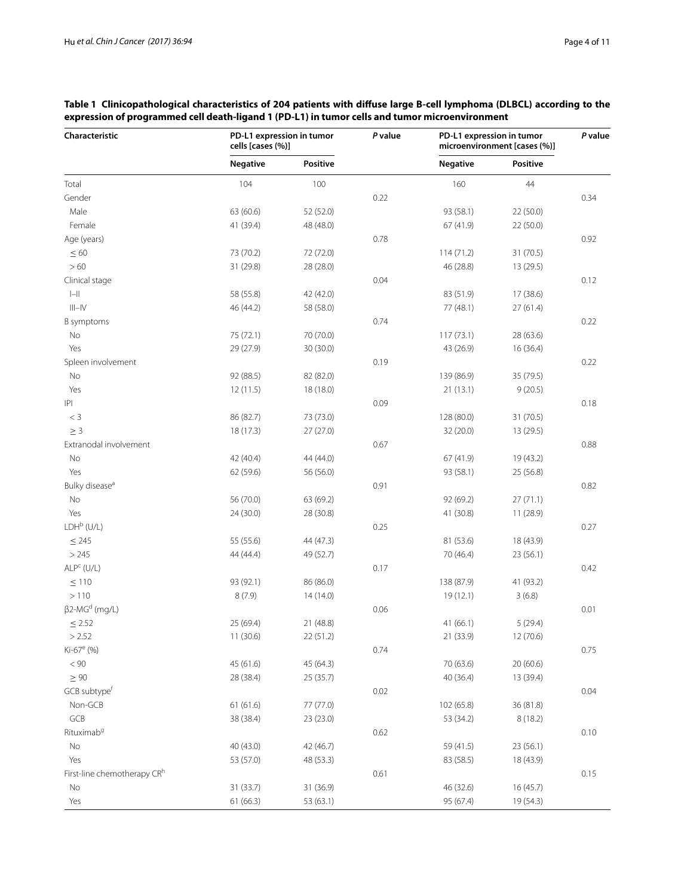| Characteristic                   | PD-L1 expression in tumor<br>cells [cases (%)] |           | P value | PD-L1 expression in tumor<br>microenvironment [cases (%)] |           | P value |
|----------------------------------|------------------------------------------------|-----------|---------|-----------------------------------------------------------|-----------|---------|
|                                  | <b>Negative</b>                                | Positive  |         | <b>Negative</b>                                           | Positive  |         |
| Total                            | 104                                            | 100       |         | 160                                                       | 44        |         |
| Gender                           |                                                |           | 0.22    |                                                           |           | 0.34    |
| Male                             | 63 (60.6)                                      | 52 (52.0) |         | 93 (58.1)                                                 | 22 (50.0) |         |
| Female                           | 41 (39.4)                                      | 48 (48.0) |         | 67 (41.9)                                                 | 22 (50.0) |         |
| Age (years)                      |                                                |           | 0.78    |                                                           |           | 0.92    |
| $\leq 60$                        | 73 (70.2)                                      | 72 (72.0) |         | 114(71.2)                                                 | 31(70.5)  |         |
| >60                              | 31 (29.8)                                      | 28 (28.0) |         | 46 (28.8)                                                 | 13 (29.5) |         |
| Clinical stage                   |                                                |           | 0.04    |                                                           |           | 0.12    |
| $\left\vert -\right\vert$        | 58 (55.8)                                      | 42 (42.0) |         | 83 (51.9)                                                 | 17 (38.6) |         |
| $\vert\vert\vert-\vert\vert$     | 46 (44.2)                                      | 58 (58.0) |         | 77 (48.1)                                                 | 27(61.4)  |         |
| B symptoms                       |                                                |           | 0.74    |                                                           |           | 0.22    |
| No                               | 75 (72.1)                                      | 70 (70.0) |         | 117 (73.1)                                                | 28 (63.6) |         |
| Yes                              | 29 (27.9)                                      | 30 (30.0) |         | 43 (26.9)                                                 | 16(36.4)  |         |
| Spleen involvement               |                                                |           | 0.19    |                                                           |           | 0.22    |
| No                               | 92 (88.5)                                      | 82 (82.0) |         | 139 (86.9)                                                | 35 (79.5) |         |
| Yes                              | 12(11.5)                                       | 18 (18.0) |         | 21(13.1)                                                  | 9(20.5)   |         |
| $ \mathsf{P} $                   |                                                |           | 0.09    |                                                           |           | 0.18    |
| $< 3\,$                          | 86 (82.7)                                      | 73 (73.0) |         | 128 (80.0)                                                | 31(70.5)  |         |
| $\geq 3$                         | 18(17.3)                                       | 27(27.0)  |         | 32 (20.0)                                                 | 13 (29.5) |         |
| Extranodal involvement           |                                                |           | 0.67    |                                                           |           | 0.88    |
| No                               | 42 (40.4)                                      | 44 (44.0) |         | 67 (41.9)                                                 | 19 (43.2) |         |
| Yes                              | 62 (59.6)                                      | 56 (56.0) |         | 93 (58.1)                                                 | 25 (56.8) |         |
| Bulky disease <sup>a</sup>       |                                                |           | 0.91    |                                                           |           | 0.82    |
| No                               | 56 (70.0)                                      | 63 (69.2) |         | 92 (69.2)                                                 | 27(71.1)  |         |
| Yes                              | 24 (30.0)                                      | 28 (30.8) |         | 41 (30.8)                                                 | 11 (28.9) |         |
| $LDH^b$ (U/L)                    |                                                |           | 0.25    |                                                           |           | 0.27    |
| $\leq$ 245                       | 55 (55.6)                                      | 44 (47.3) |         | 81 (53.6)                                                 | 18 (43.9) |         |
| > 245                            | 44 (44.4)                                      | 49 (52.7) |         | 70 (46.4)                                                 | 23 (56.1) |         |
| $ALPc$ (U/L)                     |                                                |           | 0.17    |                                                           |           | 0.42    |
|                                  |                                                |           |         |                                                           |           |         |
| $\leq 110$<br>>110               | 93 (92.1)                                      | 86 (86.0) |         | 138 (87.9)                                                | 41 (93.2) |         |
|                                  | 8(7.9)                                         | 14(14.0)  |         | 19(12.1)                                                  | 3(6.8)    |         |
| $\beta$ 2-MG <sup>d</sup> (mg/L) |                                                |           | 0.06    |                                                           |           | 0.01    |
| $\leq$ 2.52                      | 25 (69.4)                                      | 21 (48.8) |         | 41(66.1)                                                  | 5(29.4)   |         |
| > 2.52                           | 11 (30.6)                                      | 22 (51.2) |         | 21 (33.9)                                                 | 12 (70.6) |         |
| Ki-67 <sup>e</sup> (%)           |                                                |           | 0.74    |                                                           |           | 0.75    |
| $< 90\,$                         | 45 (61.6)                                      | 45 (64.3) |         | 70 (63.6)                                                 | 20 (60.6) |         |
| $\geq 90$                        | 28 (38.4)                                      | 25 (35.7) |         | 40 (36.4)                                                 | 13 (39.4) |         |
| GCB subtype <sup>f</sup>         |                                                |           | 0.02    |                                                           |           | 0.04    |
| Non-GCB                          | 61(61.6)                                       | 77 (77.0) |         | 102 (65.8)                                                | 36 (81.8) |         |
| GCB                              | 38 (38.4)                                      | 23 (23.0) |         | 53 (34.2)                                                 | 8(18.2)   |         |
| Rituximab <sup>9</sup>           |                                                |           | 0.62    |                                                           |           | 0.10    |
| $\rm No$                         | 40 (43.0)                                      | 42 (46.7) |         | 59 (41.5)                                                 | 23 (56.1) |         |
| Yes                              | 53 (57.0)                                      | 48 (53.3) |         | 83 (58.5)                                                 | 18 (43.9) |         |
| First-line chemotherapy CRh      |                                                |           | 0.61    |                                                           |           | 0.15    |
| No                               | 31 (33.7)                                      | 31 (36.9) |         | 46 (32.6)                                                 | 16(45.7)  |         |
| Yes                              | 61(66.3)                                       | 53 (63.1) |         | 95 (67.4)                                                 | 19 (54.3) |         |

# <span id="page-3-0"></span>**Table 1 Clinicopathological characteristics of 204 patients with difuse large B-cell lymphoma (DLBCL) according to the expression of programmed cell death-ligand 1 (PD-L1) in tumor cells and tumor microenvironment**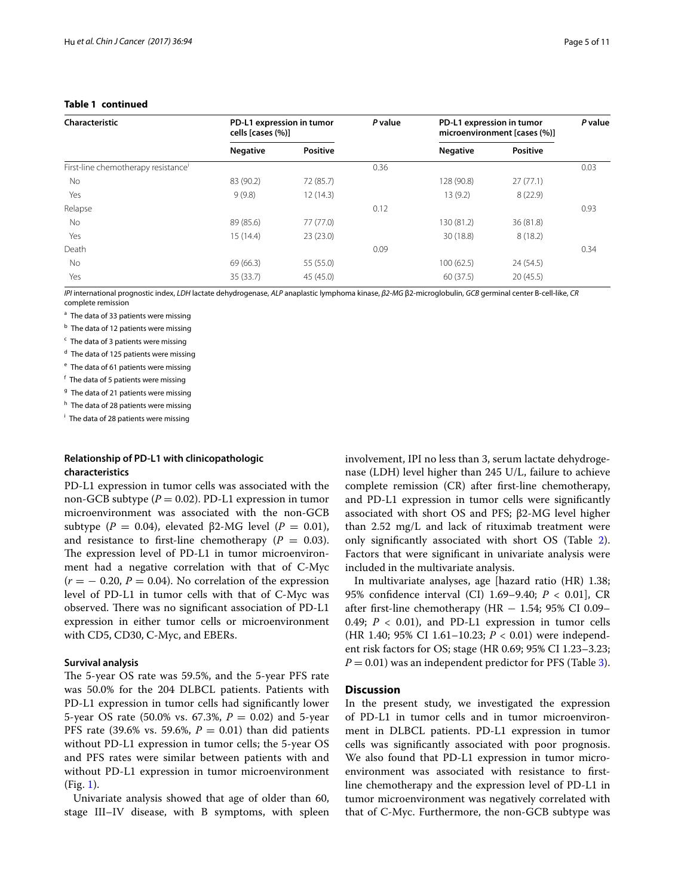| Characteristic                      | PD-L1 expression in tumor<br>cells [cases (%)] |                 | P value | PD-L1 expression in tumor<br>microenvironment [cases (%)] |                 | P value |
|-------------------------------------|------------------------------------------------|-----------------|---------|-----------------------------------------------------------|-----------------|---------|
|                                     | <b>Negative</b>                                | <b>Positive</b> |         | <b>Negative</b>                                           | <b>Positive</b> |         |
| First-line chemotherapy resistance' |                                                |                 | 0.36    |                                                           |                 | 0.03    |
| No                                  | 83 (90.2)                                      | 72 (85.7)       |         | 128 (90.8)                                                | 27(77.1)        |         |
| Yes                                 | 9(9.8)                                         | 12(14.3)        |         | 13(9.2)                                                   | 8(22.9)         |         |
| Relapse                             |                                                |                 | 0.12    |                                                           |                 | 0.93    |
| <b>No</b>                           | 89 (85.6)                                      | 77 (77.0)       |         | 130 (81.2)                                                | 36 (81.8)       |         |
| Yes                                 | 15(14.4)                                       | 23(23.0)        |         | 30 (18.8)                                                 | 8(18.2)         |         |
| Death                               |                                                |                 | 0.09    |                                                           |                 | 0.34    |
| <b>No</b>                           | 69 (66.3)                                      | 55 (55.0)       |         | 100(62.5)                                                 | 24 (54.5)       |         |
| Yes                                 | 35 (33.7)                                      | 45 (45.0)       |         | 60 (37.5)                                                 | 20(45.5)        |         |

# **Table 1 continued**

*IPI* international prognostic index, *LDH* lactate dehydrogenase, *ALP* anaplastic lymphoma kinase, *β2-MG* β2-microglobulin, *GCB* germinal center B-cell-like, *CR* complete remission

<sup>a</sup> The data of 33 patients were missing

**b** The data of 12 patients were missing

 $c$  The data of 3 patients were missing

<sup>d</sup> The data of 125 patients were missing

<sup>e</sup> The data of 61 patients were missing

<sup>f</sup> The data of 5 patients were missing

<sup>g</sup> The data of 21 patients were missing

h The data of 28 patients were missing

<sup>i</sup> The data of 28 patients were missing

# **Relationship of PD‑L1 with clinicopathologic characteristics**

PD-L1 expression in tumor cells was associated with the non-GCB subtype (*P* = 0.02). PD-L1 expression in tumor microenvironment was associated with the non-GCB subtype ( $P = 0.04$ ), elevated β2-MG level ( $P = 0.01$ ), and resistance to first-line chemotherapy  $(P = 0.03)$ . The expression level of PD-L1 in tumor microenvironment had a negative correlation with that of C-Myc  $(r = -0.20, P = 0.04)$ . No correlation of the expression level of PD-L1 in tumor cells with that of C-Myc was observed. There was no significant association of PD-L1 expression in either tumor cells or microenvironment with CD5, CD30, C-Myc, and EBERs.

## **Survival analysis**

The 5-year OS rate was 59.5%, and the 5-year PFS rate was 50.0% for the 204 DLBCL patients. Patients with PD-L1 expression in tumor cells had signifcantly lower 5-year OS rate (50.0% vs. 67.3%, *P* = 0.02) and 5-year PFS rate (39.6% vs. 59.6%,  $P = 0.01$ ) than did patients without PD-L1 expression in tumor cells; the 5-year OS and PFS rates were similar between patients with and without PD-L1 expression in tumor microenvironment (Fig. [1](#page-5-0)).

Univariate analysis showed that age of older than 60, stage III–IV disease, with B symptoms, with spleen involvement, IPI no less than 3, serum lactate dehydrogenase (LDH) level higher than 245 U/L, failure to achieve complete remission (CR) after frst-line chemotherapy, and PD-L1 expression in tumor cells were signifcantly associated with short OS and PFS; β2-MG level higher than 2.52 mg/L and lack of rituximab treatment were only signifcantly associated with short OS (Table [2](#page-6-0)). Factors that were signifcant in univariate analysis were included in the multivariate analysis.

In multivariate analyses, age [hazard ratio (HR) 1.38; 95% confdence interval (CI) 1.69–9.40; *P* < 0.01], CR after first-line chemotherapy (HR  $-$  1.54; 95% CI 0.09– 0.49;  $P < 0.01$ ), and PD-L1 expression in tumor cells (HR 1.40; 95% CI 1.61-10.23; *P* < 0.01) were independent risk factors for OS; stage (HR 0.69; 95% CI 1.23–3.23;  $P = 0.01$ ) was an independent predictor for PFS (Table [3](#page-7-0)).

## **Discussion**

In the present study, we investigated the expression of PD-L1 in tumor cells and in tumor microenvironment in DLBCL patients. PD-L1 expression in tumor cells was signifcantly associated with poor prognosis. We also found that PD-L1 expression in tumor microenvironment was associated with resistance to frstline chemotherapy and the expression level of PD-L1 in tumor microenvironment was negatively correlated with that of C-Myc. Furthermore, the non-GCB subtype was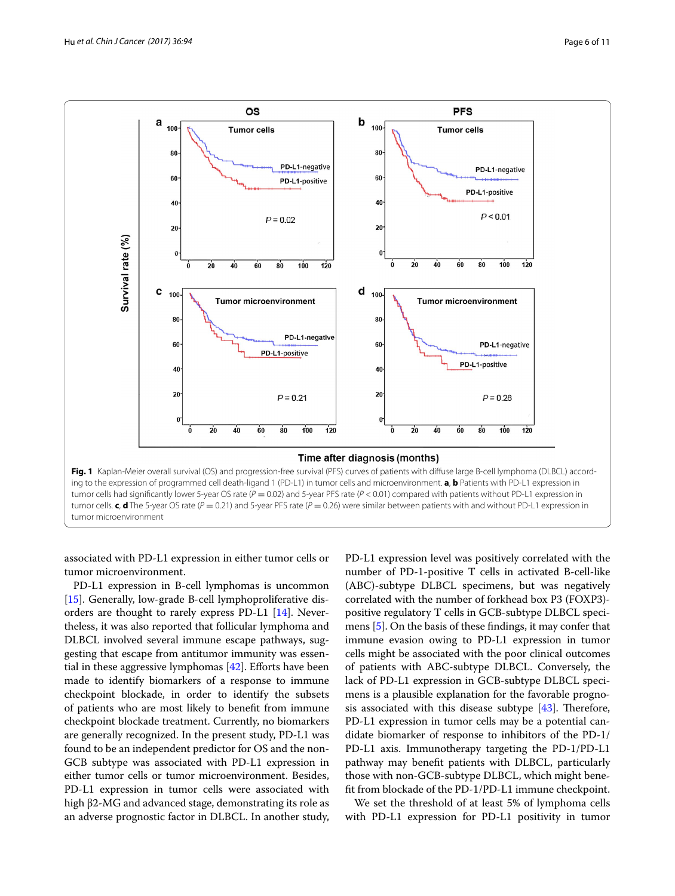

<span id="page-5-0"></span>associated with PD-L1 expression in either tumor cells or tumor microenvironment.

PD-L1 expression in B-cell lymphomas is uncommon [[15\]](#page-9-36). Generally, low-grade B-cell lymphoproliferative disorders are thought to rarely express PD-L1 [[14\]](#page-9-37). Nevertheless, it was also reported that follicular lymphoma and DLBCL involved several immune escape pathways, suggesting that escape from antitumor immunity was essential in these aggressive lymphomas  $[42]$  $[42]$  $[42]$ . Efforts have been made to identify biomarkers of a response to immune checkpoint blockade, in order to identify the subsets of patients who are most likely to beneft from immune checkpoint blockade treatment. Currently, no biomarkers are generally recognized. In the present study, PD-L1 was found to be an independent predictor for OS and the non-GCB subtype was associated with PD-L1 expression in either tumor cells or tumor microenvironment. Besides, PD-L1 expression in tumor cells were associated with high β2-MG and advanced stage, demonstrating its role as an adverse prognostic factor in DLBCL. In another study,

PD-L1 expression level was positively correlated with the number of PD-1-positive T cells in activated B-cell-like (ABC)-subtype DLBCL specimens, but was negatively correlated with the number of forkhead box P3 (FOXP3) positive regulatory T cells in GCB-subtype DLBCL specimens [[5\]](#page-9-3). On the basis of these fndings, it may confer that immune evasion owing to PD-L1 expression in tumor cells might be associated with the poor clinical outcomes of patients with ABC-subtype DLBCL. Conversely, the lack of PD-L1 expression in GCB-subtype DLBCL specimens is a plausible explanation for the favorable prognosis associated with this disease subtype  $[43]$  $[43]$ . Therefore, PD-L1 expression in tumor cells may be a potential candidate biomarker of response to inhibitors of the PD-1/ PD-L1 axis. Immunotherapy targeting the PD-1/PD-L1 pathway may beneft patients with DLBCL, particularly those with non-GCB-subtype DLBCL, which might beneft from blockade of the PD-1/PD-L1 immune checkpoint.

We set the threshold of at least 5% of lymphoma cells with PD-L1 expression for PD-L1 positivity in tumor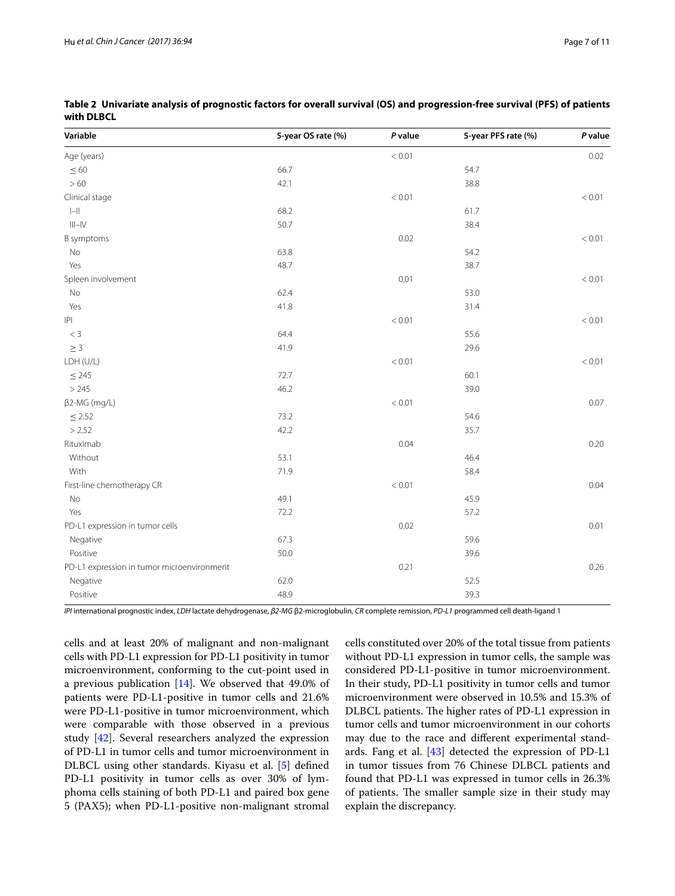| Variable                                   | 5-year OS rate (%) | $P$ value | 5-year PFS rate (%) | P value |
|--------------------------------------------|--------------------|-----------|---------------------|---------|
| Age (years)                                |                    | < 0.01    |                     | 0.02    |
| $\leq 60$                                  | 66.7               |           | 54.7                |         |
| $>60$                                      | 42.1               |           | 38.8                |         |
| Clinical stage                             |                    | < 0.01    |                     | < 0.01  |
| $\left\vert -\right\vert$                  | 68.2               |           | 61.7                |         |
| $\vert\vert\vert-\vert\vert$               | 50.7               |           | 38.4                |         |
| <b>B</b> symptoms                          |                    | 0.02      |                     | < 0.01  |
| No                                         | 63.8               |           | 54.2                |         |
| Yes                                        | 48.7               |           | 38.7                |         |
| Spleen involvement                         |                    | 0.01      |                     | < 0.01  |
| No                                         | 62.4               |           | 53.0                |         |
| Yes                                        | 41.8               |           | 31.4                |         |
| P                                          |                    | < 0.01    |                     | < 0.01  |
| $< 3\,$                                    | 64.4               |           | 55.6                |         |
| $\geq 3$                                   | 41.9               |           | 29.6                |         |
| LDH (U/L)                                  |                    | < 0.01    |                     | < 0.01  |
| $\leq$ 245                                 | 72.7               |           | 60.1                |         |
| > 245                                      | 46.2               |           | 39.0                |         |
| $\beta$ 2-MG (mg/L)                        |                    | < 0.01    |                     | 0.07    |
| $\leq$ 2.52                                | 73.2               |           | 54.6                |         |
| > 2.52                                     | 42.2               |           | 35.7                |         |
| Rituximab                                  |                    | 0.04      |                     | 0.20    |
| Without                                    | 53.1               |           | 46.4                |         |
| With                                       | 71.9               |           | 58.4                |         |
| First-line chemotherapy CR                 |                    | < 0.01    |                     | 0.04    |
| No                                         | 49.1               |           | 45.9                |         |
| Yes                                        | 72.2               |           | 57.2                |         |
| PD-L1 expression in tumor cells            |                    | 0.02      |                     | 0.01    |
| Negative                                   | 67.3               |           | 59.6                |         |
| Positive                                   | 50.0               |           | 39.6                |         |
| PD-L1 expression in tumor microenvironment |                    | 0.21      |                     | 0.26    |
| Negative                                   | 62.0               |           | 52.5                |         |
| Positive                                   | 48.9               |           | 39.3                |         |

<span id="page-6-0"></span>**Table 2 Univariate analysis of prognostic factors for overall survival (OS) and progression-free survival (PFS) of patients with DLBCL**

*IPI* international prognostic index, *LDH* lactate dehydrogenase, *β2-MG* β2-microglobulin, *CR* complete remission, *PD-L1* programmed cell death-ligand 1

cells and at least 20% of malignant and non-malignant cells with PD-L1 expression for PD-L1 positivity in tumor microenvironment, conforming to the cut-point used in a previous publication  $[14]$  $[14]$ . We observed that 49.0% of patients were PD-L1-positive in tumor cells and 21.6% were PD-L1-positive in tumor microenvironment, which were comparable with those observed in a previous study [\[42\]](#page-9-38). Several researchers analyzed the expression of PD-L1 in tumor cells and tumor microenvironment in DLBCL using other standards. Kiyasu et al. [\[5](#page-9-3)] defned PD-L1 positivity in tumor cells as over 30% of lymphoma cells staining of both PD-L1 and paired box gene 5 (PAX5); when PD-L1-positive non-malignant stromal cells constituted over 20% of the total tissue from patients without PD-L1 expression in tumor cells, the sample was considered PD-L1-positive in tumor microenvironment. In their study, PD-L1 positivity in tumor cells and tumor microenvironment were observed in 10.5% and 15.3% of DLBCL patients. The higher rates of PD-L1 expression in tumor cells and tumor microenvironment in our cohorts may due to the race and diferent experimental standards. Fang et al.  $[43]$  $[43]$  detected the expression of PD-L1 in tumor tissues from 76 Chinese DLBCL patients and found that PD-L1 was expressed in tumor cells in 26.3% of patients. The smaller sample size in their study may explain the discrepancy.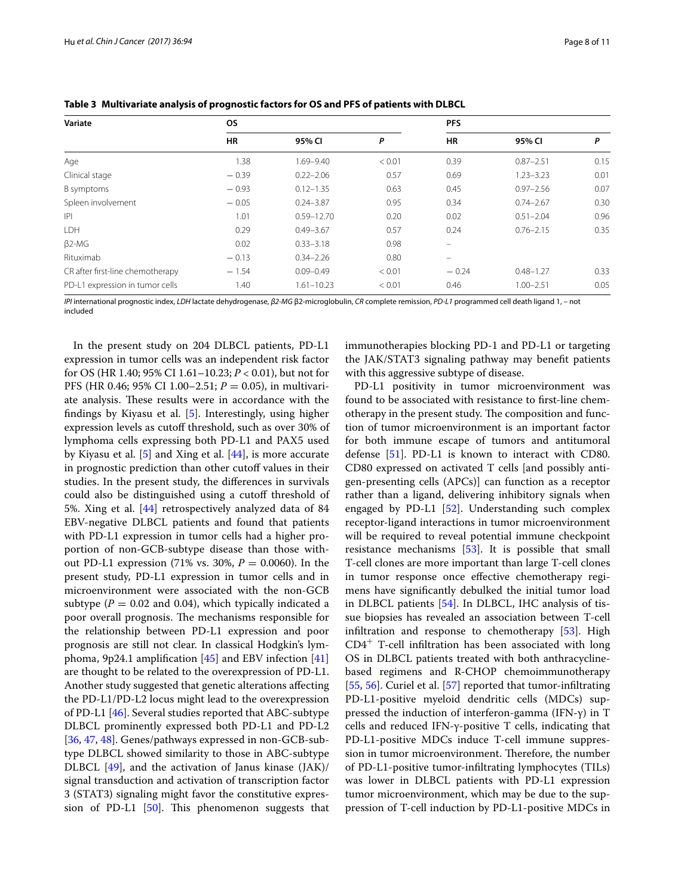| Variate                          | <b>OS</b> |                |        | <b>PFS</b>               |               |      |
|----------------------------------|-----------|----------------|--------|--------------------------|---------------|------|
|                                  | <b>HR</b> | 95% CI         | P      | <b>HR</b>                | 95% CI        | P    |
| Age                              | 1.38      | 1.69-9.40      | < 0.01 | 0.39                     | $0.87 - 2.51$ | 0.15 |
| Clinical stage                   | $-0.39$   | $0.22 - 2.06$  | 0.57   | 0.69                     | $1.23 - 3.23$ | 0.01 |
| B symptoms                       | $-0.93$   | $0.12 - 1.35$  | 0.63   | 0.45                     | $0.97 - 2.56$ | 0.07 |
| Spleen involvement               | $-0.05$   | $0.24 - 3.87$  | 0.95   | 0.34                     | $0.74 - 2.67$ | 0.30 |
| P                                | 1.01      | $0.59 - 12.70$ | 0.20   | 0.02                     | $0.51 - 2.04$ | 0.96 |
| LDH                              | 0.29      | $0.49 - 3.67$  | 0.57   | 0.24                     | $0.76 - 2.15$ | 0.35 |
| $\beta$ 2-MG                     | 0.02      | $0.33 - 3.18$  | 0.98   | $\overline{\phantom{0}}$ |               |      |
| Rituximab                        | $-0.13$   | $0.34 - 2.26$  | 0.80   |                          |               |      |
| CR after first-line chemotherapy | $-1.54$   | $0.09 - 0.49$  | < 0.01 | $-0.24$                  | $0.48 - 1.27$ | 0.33 |
| PD-L1 expression in tumor cells  | 1.40      | $1.61 - 10.23$ | < 0.01 | 0.46                     | $1.00 - 2.51$ | 0.05 |

<span id="page-7-0"></span>**Table 3 Multivariate analysis of prognostic factors for OS and PFS of patients with DLBCL**

*IPI* international prognostic index, *LDH* lactate dehydrogenase, *β2-MG* β2-microglobulin, *CR* complete remission, *PD-L1* programmed cell death ligand 1, *–* not included

In the present study on 204 DLBCL patients, PD-L1 expression in tumor cells was an independent risk factor for OS (HR 1.40; 95% CI 1.61–10.23; *P* < 0.01), but not for PFS (HR 0.46; 95% CI 1.00–2.51; *P* = 0.05), in multivariate analysis. These results were in accordance with the fndings by Kiyasu et al. [[5\]](#page-9-3). Interestingly, using higher expression levels as cutoff threshold, such as over 30% of lymphoma cells expressing both PD-L1 and PAX5 used by Kiyasu et al. [[5\]](#page-9-3) and Xing et al. [[44\]](#page-9-40), is more accurate in prognostic prediction than other cutoff values in their studies. In the present study, the diferences in survivals could also be distinguished using a cutoff threshold of 5%. Xing et al. [\[44\]](#page-9-40) retrospectively analyzed data of 84 EBV-negative DLBCL patients and found that patients with PD-L1 expression in tumor cells had a higher proportion of non-GCB-subtype disease than those without PD-L1 expression (71% vs. 30%, *P* = 0.0060). In the present study, PD-L1 expression in tumor cells and in microenvironment were associated with the non-GCB subtype ( $P = 0.02$  and 0.04), which typically indicated a poor overall prognosis. The mechanisms responsible for the relationship between PD-L1 expression and poor prognosis are still not clear. In classical Hodgkin's lymphoma, 9p24.1 amplification  $[45]$  $[45]$  and EBV infection  $[41]$  $[41]$  $[41]$ are thought to be related to the overexpression of PD-L1. Another study suggested that genetic alterations afecting the PD-L1/PD-L2 locus might lead to the overexpression of PD-L1 [\[46\]](#page-10-1). Several studies reported that ABC-subtype DLBCL prominently expressed both PD-L1 and PD-L2 [[36,](#page-9-30) [47](#page-10-2), [48\]](#page-10-3). Genes/pathways expressed in non-GCB-subtype DLBCL showed similarity to those in ABC-subtype DLBCL [\[49](#page-10-4)], and the activation of Janus kinase (JAK)/ signal transduction and activation of transcription factor 3 (STAT3) signaling might favor the constitutive expression of PD-L1  $[50]$  $[50]$  $[50]$ . This phenomenon suggests that immunotherapies blocking PD-1 and PD-L1 or targeting the JAK/STAT3 signaling pathway may beneft patients with this aggressive subtype of disease.

PD-L1 positivity in tumor microenvironment was found to be associated with resistance to frst-line chemotherapy in the present study. The composition and function of tumor microenvironment is an important factor for both immune escape of tumors and antitumoral defense [[51](#page-10-6)]. PD-L1 is known to interact with CD80. CD80 expressed on activated T cells [and possibly antigen-presenting cells (APCs)] can function as a receptor rather than a ligand, delivering inhibitory signals when engaged by PD-L1 [\[52](#page-10-7)]. Understanding such complex receptor-ligand interactions in tumor microenvironment will be required to reveal potential immune checkpoint resistance mechanisms [[53\]](#page-10-8). It is possible that small T-cell clones are more important than large T-cell clones in tumor response once efective chemotherapy regimens have signifcantly debulked the initial tumor load in DLBCL patients [[54\]](#page-10-9). In DLBCL, IHC analysis of tissue biopsies has revealed an association between T-cell infltration and response to chemotherapy [[53](#page-10-8)]. High  $CD4<sup>+</sup>$  T-cell infiltration has been associated with long OS in DLBCL patients treated with both anthracyclinebased regimens and R-CHOP chemoimmunotherapy [[55,](#page-10-10) [56](#page-10-11)]. Curiel et al. [[57](#page-10-12)] reported that tumor-infiltrating PD-L1-positive myeloid dendritic cells (MDCs) suppressed the induction of interferon-gamma (IFN-γ) in T cells and reduced IFN-γ-positive T cells, indicating that PD-L1-positive MDCs induce T-cell immune suppression in tumor microenvironment. Therefore, the number of PD-L1-positive tumor-infltrating lymphocytes (TILs) was lower in DLBCL patients with PD-L1 expression tumor microenvironment, which may be due to the suppression of T-cell induction by PD-L1-positive MDCs in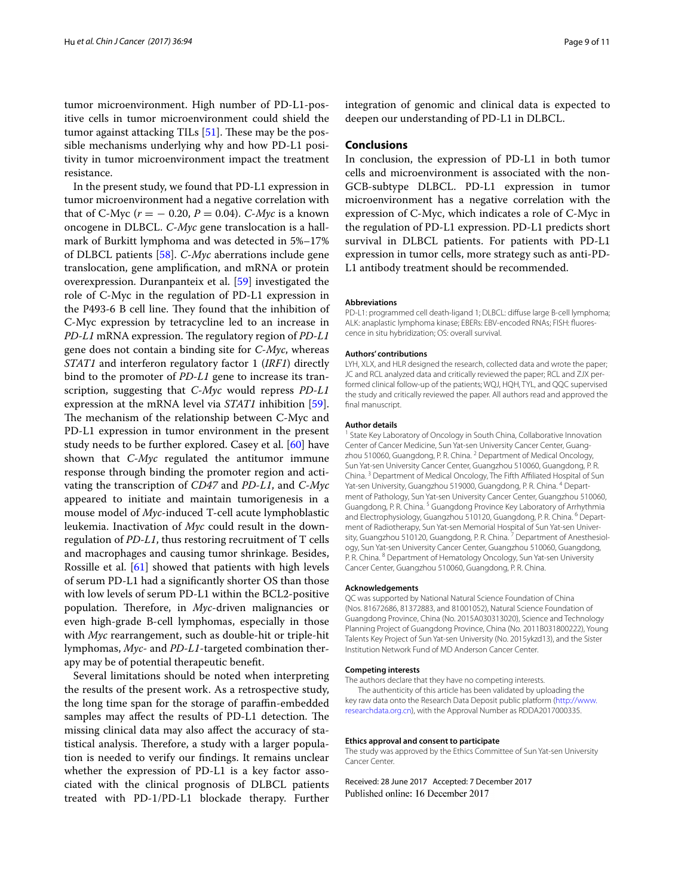tumor microenvironment. High number of PD-L1-positive cells in tumor microenvironment could shield the tumor against attacking TILs  $[51]$ . These may be the possible mechanisms underlying why and how PD-L1 positivity in tumor microenvironment impact the treatment resistance.

In the present study, we found that PD-L1 expression in tumor microenvironment had a negative correlation with that of C-Myc ( $r$  = − 0.20,  $P$  = 0.04). *C-Myc* is a known oncogene in DLBCL. *C*-*Myc* gene translocation is a hallmark of Burkitt lymphoma and was detected in 5%–17% of DLBCL patients [[58\]](#page-10-13). *C*-*Myc* aberrations include gene translocation, gene amplifcation, and mRNA or protein overexpression. Duranpanteix et al. [\[59](#page-10-14)] investigated the role of C-Myc in the regulation of PD-L1 expression in the P493-6 B cell line. They found that the inhibition of C-Myc expression by tetracycline led to an increase in *PD-L1* mRNA expression. The regulatory region of *PD-L1* gene does not contain a binding site for *C*-*Myc*, whereas *STAT1* and interferon regulatory factor 1 (*IRF1*) directly bind to the promoter of *PD*-*L1* gene to increase its transcription, suggesting that *C*-*Myc* would repress *PD*-*L1* expression at the mRNA level via *STAT1* inhibition [\[59](#page-10-14)]. The mechanism of the relationship between C-Myc and PD-L1 expression in tumor environment in the present study needs to be further explored. Casey et al. [\[60\]](#page-10-15) have shown that *C*-*Myc* regulated the antitumor immune response through binding the promoter region and activating the transcription of *CD47* and *PD*-*L1*, and *C*-*Myc* appeared to initiate and maintain tumorigenesis in a mouse model of *Myc*-induced T-cell acute lymphoblastic leukemia. Inactivation of *Myc* could result in the downregulation of *PD*-*L1*, thus restoring recruitment of T cells and macrophages and causing tumor shrinkage. Besides, Rossille et al. [\[61](#page-10-16)] showed that patients with high levels of serum PD-L1 had a signifcantly shorter OS than those with low levels of serum PD-L1 within the BCL2-positive population. Therefore, in *Myc-driven* malignancies or even high-grade B-cell lymphomas, especially in those with *Myc* rearrangement, such as double-hit or triple-hit lymphomas, *Myc*- and *PD*-*L1*-targeted combination therapy may be of potential therapeutic beneft.

Several limitations should be noted when interpreting the results of the present work. As a retrospective study, the long time span for the storage of parafn-embedded samples may affect the results of PD-L1 detection. The missing clinical data may also afect the accuracy of statistical analysis. Therefore, a study with a larger population is needed to verify our fndings. It remains unclear whether the expression of PD-L1 is a key factor associated with the clinical prognosis of DLBCL patients treated with PD-1/PD-L1 blockade therapy. Further integration of genomic and clinical data is expected to deepen our understanding of PD-L1 in DLBCL.

### **Conclusions**

In conclusion, the expression of PD-L1 in both tumor cells and microenvironment is associated with the non-GCB-subtype DLBCL. PD-L1 expression in tumor microenvironment has a negative correlation with the expression of C-Myc, which indicates a role of C-Myc in the regulation of PD-L1 expression. PD-L1 predicts short survival in DLBCL patients. For patients with PD-L1 expression in tumor cells, more strategy such as anti-PD-L1 antibody treatment should be recommended.

#### **Abbreviations**

PD-L1: programmed cell death-ligand 1; DLBCL: diffuse large B-cell lymphoma; ALK: anaplastic lymphoma kinase; EBERs: EBV-encoded RNAs; FISH: fluorescence in situ hybridization; OS: overall survival.

#### **Authors' contributions**

LYH, XLX, and HLR designed the research, collected data and wrote the paper; JC and RCL analyzed data and critically reviewed the paper; RCL and ZJX performed clinical follow-up of the patients; WQJ, HQH, TYL, and QQC supervised the study and critically reviewed the paper. All authors read and approved the final manuscript.

#### **Author details**

<sup>1</sup> State Key Laboratory of Oncology in South China, Collaborative Innovation Center of Cancer Medicine, Sun Yat-sen University Cancer Center, Guangzhou 510060, Guangdong, P. R. China. <sup>2</sup> Department of Medical Oncology, Sun Yat-sen University Cancer Center, Guangzhou 510060, Guangdong, P. R. China.<sup>3</sup> Department of Medical Oncology, The Fifth Affiliated Hospital of Sun Yat-sen University, Guangzhou 519000, Guangdong, P. R. China. <sup>4</sup> Department of Pathology, Sun Yat-sen University Cancer Center, Guangzhou 510060, Guangdong, P. R. China. <sup>5</sup> Guangdong Province Key Laboratory of Arrhythmia and Electrophysiology, Guangzhou 510120, Guangdong, P. R. China. <sup>6</sup> Department of Radiotherapy, Sun Yat-sen Memorial Hospital of Sun Yat-sen University, Guangzhou 510120, Guangdong, P. R. China.<sup>7</sup> Department of Anesthesiology, Sun Yat-sen University Cancer Center, Guangzhou 510060, Guangdong, P. R. China. 8 Department of Hematology Oncology, Sun Yat-sen University Cancer Center, Guangzhou 510060, Guangdong, P. R. China.

#### **Acknowledgements**

QC was supported by National Natural Science Foundation of China (Nos. 81672686, 81372883, and 81001052), Natural Science Foundation of Guangdong Province, China (No. 2015A030313020), Science and Technology Planning Project of Guangdong Province, China (No. 2011B031800222), Young Talents Key Project of Sun Yat-sen University (No. 2015ykzd13), and the Sister Institution Network Fund of MD Anderson Cancer Center.

#### **Competing interests**

The authors declare that they have no competing interests.

The authenticity of this article has been validated by uploading the key raw data onto the Research Data Deposit public platform [\(http://www.](http://www.researchdata.org.cn) [researchdata.org.cn](http://www.researchdata.org.cn)), with the Approval Number as RDDA2017000335.

#### **Ethics approval and consent to participate**

The study was approved by the Ethics Committee of Sun Yat-sen University Cancer Center.

Received: 28 June 2017 Accepted: 7 December 2017Published online: 16 December 2017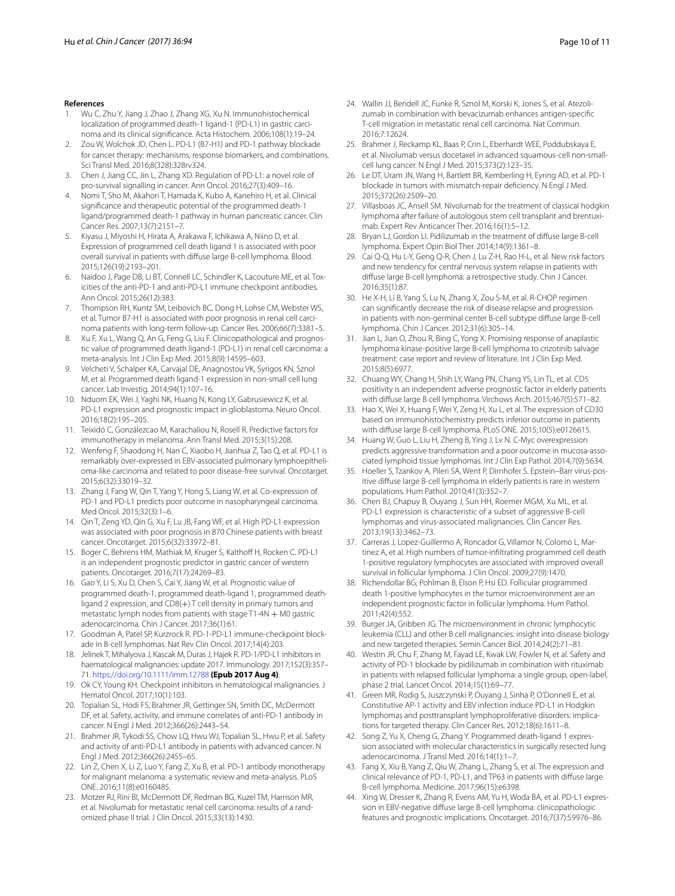#### **References**

- <span id="page-9-0"></span>1. Wu C, Zhu Y, Jiang J, Zhao J, Zhang XG, Xu N. Immunohistochemical localization of programmed death-1 ligand-1 (PD-L1) in gastric carcinoma and its clinical signifcance. Acta Histochem. 2006;108(1):19–24.
- <span id="page-9-1"></span>2. Zou W, Wolchok JD, Chen L. PD-L1 (B7-H1) and PD-1 pathway blockade for cancer therapy: mechanisms, response biomarkers, and combinations. Sci Transl Med. 2016;8(328):328rv324.
- <span id="page-9-2"></span>3. Chen J, Jiang CC, Jin L, Zhang XD. Regulation of PD-L1: a novel role of pro-survival signalling in cancer. Ann Oncol. 2016;27(3):409–16.
- <span id="page-9-13"></span>4. Nomi T, Sho M, Akahori T, Hamada K, Kubo A, Kanehiro H, et al. Clinical signifcance and therapeutic potential of the programmed death-1 ligand/programmed death-1 pathway in human pancreatic cancer. Clin Cancer Res. 2007;13(7):2151–7.
- <span id="page-9-3"></span>5. Kiyasu J, Miyoshi H, Hirata A, Arakawa F, Ichikawa A, Niino D, et al. Expression of programmed cell death ligand 1 is associated with poor overall survival in patients with difuse large B-cell lymphoma. Blood. 2015;126(19):2193–201.
- <span id="page-9-4"></span>6. Naidoo J, Page DB, Li BT, Connell LC, Schindler K, Lacouture ME, et al. Toxicities of the anti-PD-1 and anti-PD-L1 immune checkpoint antibodies. Ann Oncol. 2015;26(12):383.
- <span id="page-9-5"></span>7. Thompson RH, Kuntz SM, Leibovich BC, Dong H, Lohse CM, Webster WS, et al. Tumor B7-H1 is associated with poor prognosis in renal cell carcinoma patients with long-term follow-up. Cancer Res. 2006;66(7):3381–5.
- <span id="page-9-6"></span>8. Xu F, Xu L, Wang Q, An G, Feng G, Liu F. Clinicopathological and prognostic value of programmed death ligand-1 (PD-L1) in renal cell carcinoma: a meta-analysis. Int J Clin Exp Med. 2015;8(9):14595–603.
- <span id="page-9-7"></span>9. Velcheti V, Schalper KA, Carvajal DE, Anagnostou VK, Syrigos KN, Sznol M, et al. Programmed death ligand-1 expression in non-small cell lung cancer. Lab Investig. 2014;94(1):107–16.
- <span id="page-9-8"></span>10. Nduom EK, Wei J, Yaghi NK, Huang N, Kong LY, Gabrusiewicz K, et al. PD-L1 expression and prognostic impact in glioblastoma. Neuro Oncol. 2016;18(2):195–205.
- <span id="page-9-9"></span>11. Teixidó C, Gonzálezcao M, Karachaliou N, Rosell R. Predictive factors for immunotherapy in melanoma. Ann Transl Med. 2015;3(15):208.
- 12. Wenfeng F, Shaodong H, Nan C, Xiaobo H, Jianhua Z, Tao Q, et al. PD-L1 is remarkably over-expressed in EBV-associated pulmonary lymphoepithelioma-like carcinoma and related to poor disease-free survival. Oncotarget. 2015;6(32):33019–32.
- 13. Zhang J, Fang W, Qin T, Yang Y, Hong S, Liang W, et al. Co-expression of PD-1 and PD-L1 predicts poor outcome in nasopharyngeal carcinoma. Med Oncol. 2015;32(3):1–6.
- <span id="page-9-37"></span>14. Qin T, Zeng YD, Qin G, Xu F, Lu JB, Fang WF, et al. High PD-L1 expression was associated with poor prognosis in 870 Chinese patients with breast cancer. Oncotarget. 2015;6(32):33972–81.
- <span id="page-9-36"></span>15. Boger C, Behrens HM, Mathiak M, Kruger S, Kalthoff H, Rocken C. PD-L1 is an independent prognostic predictor in gastric cancer of western patients. Oncotarget. 2016;7(17):24269–83.
- <span id="page-9-10"></span>16. Gao Y, Li S, Xu D, Chen S, Cai Y, Jiang W, et al. Prognostic value of programmed death-1, programmed death-ligand 1, programmed deathligand 2 expression, and CD8(+) T cell density in primary tumors and metastatic lymph nodes from patients with stage  $T1-4N + MO$  gastric adenocarcinoma. Chin J Cancer. 2017;36(1):61.
- <span id="page-9-11"></span>17. Goodman A, Patel SP, Kurzrock R. PD-1-PD-L1 immune-checkpoint blockade in B-cell lymphomas. Nat Rev Clin Oncol. 2017;14(4):203.
- 18. Jelinek T, Mihalyova J, Kascak M, Duras J, Hajek R. PD-1/PD-L1 inhibitors in haematological malignancies: update 2017. Immunology. 2017;152(3):357– 71. <https://doi.org/10.1111/imm.12788> **(Epub 2017 Aug 4)**.
- <span id="page-9-12"></span>19. Ok CY, Young KH. Checkpoint inhibitors in hematological malignancies. J Hematol Oncol. 2017;10(1):103.
- <span id="page-9-14"></span>20. Topalian SL, Hodi FS, Brahmer JR, Gettinger SN, Smith DC, McDermott DF, et al. Safety, activity, and immune correlates of anti-PD-1 antibody in cancer. N Engl J Med. 2012;366(26):2443–54.
- <span id="page-9-15"></span>21. Brahmer JR, Tykodi SS, Chow LQ, Hwu WJ, Topalian SL, Hwu P, et al. Safety and activity of anti-PD-L1 antibody in patients with advanced cancer. N Engl J Med. 2012;366(26):2455–65.
- <span id="page-9-16"></span>22. Lin Z, Chen X, Li Z, Luo Y, Fang Z, Xu B, et al. PD-1 antibody monotherapy for malignant melanoma: a systematic review and meta-analysis. PLoS ONE. 2016;11(8):e0160485.
- <span id="page-9-17"></span>23. Motzer RJ, Rini BI, McDermott DF, Redman BG, Kuzel TM, Harrison MR, et al. Nivolumab for metastatic renal cell carcinoma: results of a randomized phase II trial. J Clin Oncol. 2015;33(13):1430.
- <span id="page-9-18"></span>24. Wallin JJ, Bendell JC, Funke R, Sznol M, Korski K, Jones S, et al. Atezolizumab in combination with bevacizumab enhances antigen-specifc T-cell migration in metastatic renal cell carcinoma. Nat Commun. 2016;7:12624.
- <span id="page-9-19"></span>25. Brahmer J, Reckamp KL, Baas P, Crin L, Eberhardt WEE, Poddubskaya E, et al. Nivolumab versus docetaxel in advanced squamous-cell non-smallcell lung cancer. N Engl J Med. 2015;373(2):123–35.
- <span id="page-9-20"></span>26. Le DT, Uram JN, Wang H, Bartlett BR, Kemberling H, Eyring AD, et al. PD-1 blockade in tumors with mismatch-repair defciency. N Engl J Med. 2015;372(26):2509–20.
- <span id="page-9-21"></span>27. Villasboas JC, Ansell SM. Nivolumab for the treatment of classical hodgkin lymphoma after failure of autologous stem cell transplant and brentuximab. Expert Rev Anticancer Ther. 2016;16(1):5–12.
- <span id="page-9-22"></span>28. Bryan LJ, Gordon LI, Pidilizumab in the treatment of diffuse large B-cell lymphoma. Expert Opin Biol Ther. 2014;14(9):1361–8.
- <span id="page-9-23"></span>29. Cai Q-Q, Hu L-Y, Geng Q-R, Chen J, Lu Z-H, Rao H-L, et al. New risk factors and new tendency for central nervous system relapse in patients with difuse large B-cell lymphoma: a retrospective study. Chin J Cancer. 2016;35(1):87.
- <span id="page-9-24"></span>30. He X-H, Li B, Yang S, Lu N, Zhang X, Zou S-M, et al. R-CHOP regimen can signifcantly decrease the risk of disease relapse and progression in patients with non-germinal center B-cell subtype difuse large B-cell lymphoma. Chin J Cancer. 2012;31(6):305–14.
- <span id="page-9-25"></span>31. Jian L, Jian O, Zhou R, Bing C, Yong X. Promising response of anaplastic lymphoma kinase-positive large B-cell lymphoma to crizotinib salvage treatment: case report and review of literature. Int J Clin Exp Med. 2015;8(5):6977.
- <span id="page-9-26"></span>32. Chuang WY, Chang H, Shih LY, Wang PN, Chang YS, Lin TL, et al. CD5 positivity is an independent adverse prognostic factor in elderly patients with difuse large B cell lymphoma. Virchows Arch. 2015;467(5):571–82.
- <span id="page-9-27"></span>33. Hao X, Wei X, Huang F, Wei Y, Zeng H, Xu L, et al. The expression of CD30 based on immunohistochemistry predicts inferior outcome in patients with difuse large B-cell lymphoma. PLoS ONE. 2015;10(5):e0126615.
- <span id="page-9-28"></span>34. Huang W, Guo L, Liu H, Zheng B, Ying J, Lv N. C-Myc overexpression predicts aggressive transformation and a poor outcome in mucosa-associated lymphoid tissue lymphomas. Int J Clin Exp Pathol. 2014;7(9):5634.
- <span id="page-9-29"></span>35. Hoeller S, Tzankov A, Pileri SA, Went P, Dirnhofer S. Epstein–Barr virus-positive difuse large B-cell lymphoma in elderly patients is rare in western populations. Hum Pathol. 2010;41(3):352–7.
- <span id="page-9-30"></span>36. Chen BJ, Chapuy B, Ouyang J, Sun HH, Roemer MGM, Xu ML, et al. PD-L1 expression is characteristic of a subset of aggressive B-cell lymphomas and virus-associated malignancies. Clin Cancer Res. 2013;19(13):3462–73.
- <span id="page-9-31"></span>37. Carreras J, Lopez-Guillermo A, Roncador G, Villamor N, Colomo L, Martinez A, et al. High numbers of tumor-infltrating programmed cell death 1-positive regulatory lymphocytes are associated with improved overall survival in follicular lymphoma. J Clin Oncol. 2009;27(9):1470.
- <span id="page-9-32"></span>38. Richendollar BG, Pohlman B, Elson P, Hsi ED. Follicular programmed death 1-positive lymphocytes in the tumor microenvironment are an independent prognostic factor in follicular lymphoma. Hum Pathol. 2011;42(4):552.
- <span id="page-9-33"></span>39. Burger JA, Gribben JG. The microenvironment in chronic lymphocytic leukemia (CLL) and other B cell malignancies: insight into disease biology and new targeted therapies. Semin Cancer Biol. 2014;24(2):71–81.
- <span id="page-9-34"></span>40. Westin JR, Chu F, Zhang M, Fayad LE, Kwak LW, Fowler N, et al. Safety and activity of PD-1 blockade by pidilizumab in combination with rituximab in patients with relapsed follicular lymphoma: a single group, open-label, phase 2 trial. Lancet Oncol. 2014;15(1):69–77.
- <span id="page-9-35"></span>41. Green MR, Rodig S, Juszczynski P, Ouyang J, Sinha P, O'Donnell E, et al. Constitutive AP-1 activity and EBV infection induce PD-L1 in Hodgkin lymphomas and posttransplant lymphoproliferative disorders: implications for targeted therapy. Clin Cancer Res. 2012;18(6):1611–8.
- <span id="page-9-38"></span>42. Song Z, Yu X, Cheng G, Zhang Y. Programmed death-ligand 1 expression associated with molecular characteristics in surgically resected lung adenocarcinoma. J Transl Med. 2016;14(1):1–7.
- <span id="page-9-39"></span>43. Fang X, Xiu B, Yang Z, Qiu W, Zhang L, Zhang S, et al. The expression and clinical relevance of PD-1, PD-L1, and TP63 in patients with difuse large B-cell lymphoma. Medicine. 2017;96(15):e6398.
- <span id="page-9-40"></span>44. Xing W, Dresser K, Zhang R, Evens AM, Yu H, Woda BA, et al. PD-L1 expression in EBV-negative difuse large B-cell lymphoma: clinicopathologic features and prognostic implications. Oncotarget. 2016;7(37):59976–86.